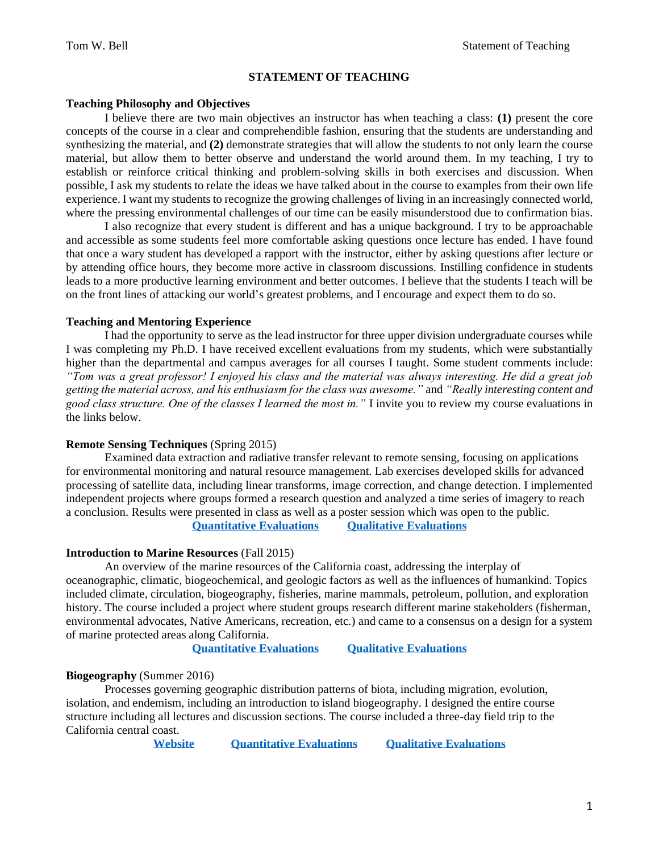## **STATEMENT OF TEACHING**

# **Teaching Philosophy and Objectives**

I believe there are two main objectives an instructor has when teaching a class: **(1)** present the core concepts of the course in a clear and comprehendible fashion, ensuring that the students are understanding and synthesizing the material, and **(2)** demonstrate strategies that will allow the students to not only learn the course material, but allow them to better observe and understand the world around them. In my teaching, I try to establish or reinforce critical thinking and problem-solving skills in both exercises and discussion. When possible, I ask my students to relate the ideas we have talked about in the course to examples from their own life experience. I want my students to recognize the growing challenges of living in an increasingly connected world, where the pressing environmental challenges of our time can be easily misunderstood due to confirmation bias.

I also recognize that every student is different and has a unique background. I try to be approachable and accessible as some students feel more comfortable asking questions once lecture has ended. I have found that once a wary student has developed a rapport with the instructor, either by asking questions after lecture or by attending office hours, they become more active in classroom discussions. Instilling confidence in students leads to a more productive learning environment and better outcomes. I believe that the students I teach will be on the front lines of attacking our world's greatest problems, and I encourage and expect them to do so.

#### **Teaching and Mentoring Experience**

I had the opportunity to serve as the lead instructor for three upper division undergraduate courses while I was completing my Ph.D. I have received excellent evaluations from my students, which were substantially higher than the departmental and campus averages for all courses I taught. Some student comments include: *"Tom was a great professor! I enjoyed his class and the material was always interesting. He did a great job getting the material across, and his enthusiasm for the class was awesome."* and *"Really interesting content and good class structure. One of the classes I learned the most in."* I invite you to review my course evaluations in the links below.

## **Remote Sensing Techniques** (Spring 2015)

Examined data extraction and radiative transfer relevant to remote sensing, focusing on applications for environmental monitoring and natural resource management. Lab exercises developed skills for advanced processing of satellite data, including linear transforms, image correction, and change detection. I implemented independent projects where groups formed a research question and analyzed a time series of imagery to reach a conclusion. Results were presented in class as well as a poster session which was open to the public. **[Quantitative Evaluations](http://www.tomwbell.net/uploads/5/6/9/7/56976837/bell_rs_quan.pdf) [Qualitative Evaluations](http://www.tomwbell.net/uploads/5/6/9/7/56976837/bell_rs_comments.pdf)**

**Introduction to Marine Resources** (Fall 2015)

An overview of the marine resources of the California coast, addressing the interplay of oceanographic, climatic, biogeochemical, and geologic factors as well as the influences of humankind. Topics included climate, circulation, biogeography, fisheries, marine mammals, petroleum, pollution, and exploration history. The course included a project where student groups research different marine stakeholders (fisherman, environmental advocates, Native Americans, recreation, etc.) and came to a consensus on a design for a system of marine protected areas along California.

**[Quantitative Evaluations](http://www.tomwbell.net/uploads/5/6/9/7/56976837/bell_mr_quan.pdf) [Qualitative Evaluations](http://www.tomwbell.net/uploads/5/6/9/7/56976837/bell_mr_comments.pdf)**

### **Biogeography** (Summer 2016)

Processes governing geographic distribution patterns of biota, including migration, evolution, isolation, and endemism, including an introduction to island biogeography. I designed the entire course structure including all lectures and discussion sections. The course included a three-day field trip to the California central coast.

**[Website](http://www.tomwbell.net/biogeography.html) [Quantitative Evaluations](http://www.tomwbell.net/uploads/5/6/9/7/56976837/bell_bg_quan.pdf) [Qualitative Evaluations](http://www.tomwbell.net/uploads/5/6/9/7/56976837/bell_bg_comments.pdf)**